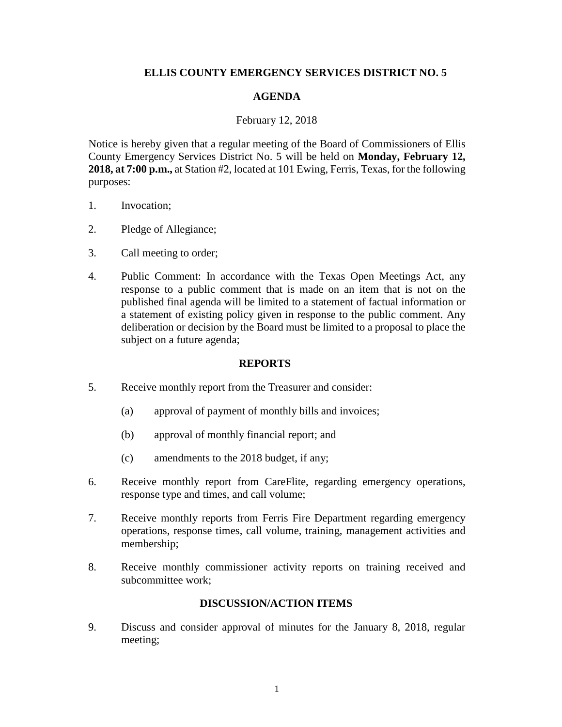# **ELLIS COUNTY EMERGENCY SERVICES DISTRICT NO. 5**

# **AGENDA**

### February 12, 2018

Notice is hereby given that a regular meeting of the Board of Commissioners of Ellis County Emergency Services District No. 5 will be held on **Monday, February 12, 2018, at 7:00 p.m.,** at Station #2, located at 101 Ewing, Ferris, Texas, for the following purposes:

- 1. Invocation;
- 2. Pledge of Allegiance;
- 3. Call meeting to order;
- 4. Public Comment: In accordance with the Texas Open Meetings Act, any response to a public comment that is made on an item that is not on the published final agenda will be limited to a statement of factual information or a statement of existing policy given in response to the public comment. Any deliberation or decision by the Board must be limited to a proposal to place the subject on a future agenda;

#### **REPORTS**

- 5. Receive monthly report from the Treasurer and consider:
	- (a) approval of payment of monthly bills and invoices;
	- (b) approval of monthly financial report; and
	- (c) amendments to the 2018 budget, if any;
- 6. Receive monthly report from CareFlite, regarding emergency operations, response type and times, and call volume;
- 7. Receive monthly reports from Ferris Fire Department regarding emergency operations, response times, call volume, training, management activities and membership;
- 8. Receive monthly commissioner activity reports on training received and subcommittee work;

# **DISCUSSION/ACTION ITEMS**

9. Discuss and consider approval of minutes for the January 8, 2018, regular meeting;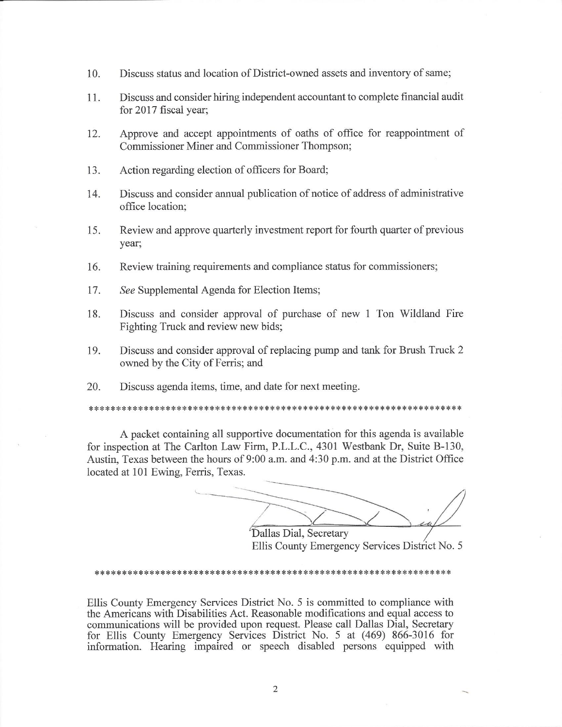- Discuss status and location of District-owned assets and inventory of same; 10.
- 11. Discuss and consider hiring independent accountant to complete financial audit for 2017 fiscal year;
- Approve and accept appointments of oaths of office for reappointment of 12. Commissioner Miner and Commissioner Thompson;
- Action regarding election of officers for Board; 13.
- 14. Discuss and consider annual publication of notice of address of administrative office location;
- Review and approve quarterly investment report for fourth quarter of previous 15. year;
- 16. Review training requirements and compliance status for commissioners;
- 17. See Supplemental Agenda for Election Items;
- 18. Discuss and consider approval of purchase of new 1 Ton Wildland Fire Fighting Truck and review new bids;
- 19. Discuss and consider approval of replacing pump and tank for Brush Truck 2 owned by the City of Ferris; and
- 20. Discuss agenda items, time, and date for next meeting.

A packet containing all supportive documentation for this agenda is available for inspection at The Carlton Law Firm, P.L.L.C., 4301 Westbank Dr, Suite B-130, Austin, Texas between the hours of 9:00 a.m. and 4:30 p.m. and at the District Office located at 101 Ewing, Ferris, Texas.

Dallas Dial, Secretary Ellis County Emergency Services District No. 5

#### 

Ellis County Emergency Services District No. 5 is committed to compliance with the Americans with Disabilities Act. Reasonable modifications and equal access to communications will be provided upon request. Please call Dallas Dial, Secretary for Ellis County Emergency Services District No. 5 at (469) 866-3016 for information. Hearing impaired or speech disabled persons equipped with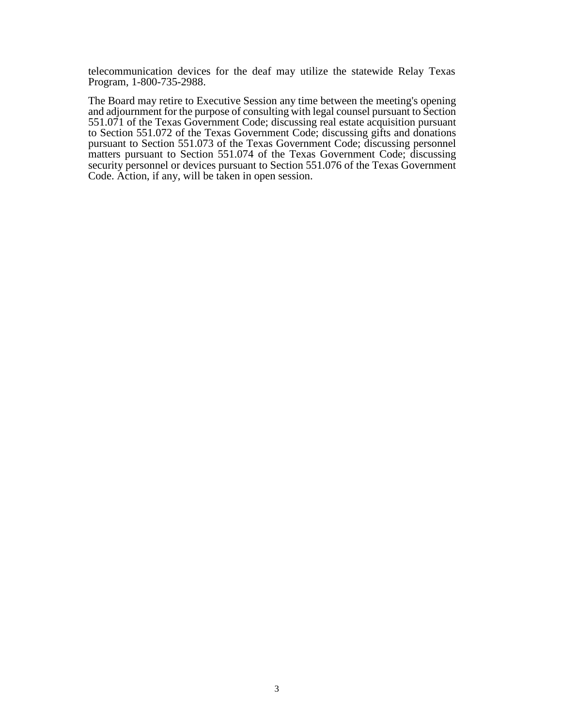telecommunication devices for the deaf may utilize the statewide Relay Texas Program, 1-800-735-2988.

The Board may retire to Executive Session any time between the meeting's opening and adjournment for the purpose of consulting with legal counsel pursuant to Section 551.071 of the Texas Government Code; discussing real estate acquisition pursuant to Section 551.072 of the Texas Government Code; discussing gifts and donations pursuant to Section 551.073 of the Texas Government Code; discussing personnel matters pursuant to Section 551.074 of the Texas Government Code; discussing security personnel or devices pursuant to Section 551.076 of the Texas Government Code. Action, if any, will be taken in open session.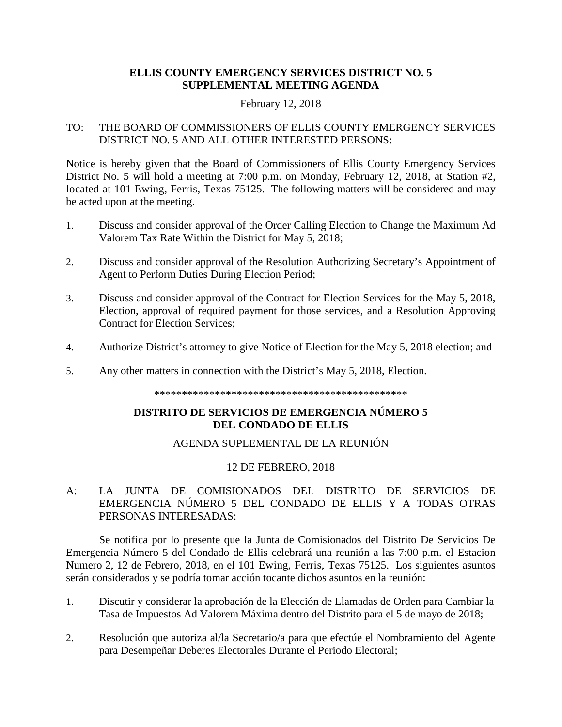# **ELLIS COUNTY EMERGENCY SERVICES DISTRICT NO. 5 SUPPLEMENTAL MEETING AGENDA**

### February 12, 2018

# TO: THE BOARD OF COMMISSIONERS OF ELLIS COUNTY EMERGENCY SERVICES DISTRICT NO. 5 AND ALL OTHER INTERESTED PERSONS:

Notice is hereby given that the Board of Commissioners of Ellis County Emergency Services District No. 5 will hold a meeting at 7:00 p.m. on Monday, February 12, 2018, at Station #2, located at 101 Ewing, Ferris, Texas 75125. The following matters will be considered and may be acted upon at the meeting.

- 1. Discuss and consider approval of the Order Calling Election to Change the Maximum Ad Valorem Tax Rate Within the District for May 5, 2018;
- 2. Discuss and consider approval of the Resolution Authorizing Secretary's Appointment of Agent to Perform Duties During Election Period;
- 3. Discuss and consider approval of the Contract for Election Services for the May 5, 2018, Election, approval of required payment for those services, and a Resolution Approving Contract for Election Services;
- 4. Authorize District's attorney to give Notice of Election for the May 5, 2018 election; and
- 5. Any other matters in connection with the District's May 5, 2018, Election.

\*\*\*\*\*\*\*\*\*\*\*\*\*\*\*\*\*\*\*\*\*\*\*\*\*\*\*\*\*\*\*\*\*\*\*\*\*\*\*\*\*\*\*\*\*\*

# **DISTRITO DE SERVICIOS DE EMERGENCIA NÚMERO 5 DEL CONDADO DE ELLIS**

# AGENDA SUPLEMENTAL DE LA REUNIÓN

# 12 DE FEBRERO, 2018

# A: LA JUNTA DE COMISIONADOS DEL DISTRITO DE SERVICIOS DE EMERGENCIA NÚMERO 5 DEL CONDADO DE ELLIS Y A TODAS OTRAS PERSONAS INTERESADAS:

Se notifica por lo presente que la Junta de Comisionados del Distrito De Servicios De Emergencia Número 5 del Condado de Ellis celebrará una reunión a las 7:00 p.m. el Estacion Numero 2, 12 de Febrero, 2018, en el 101 Ewing, Ferris, Texas 75125. Los siguientes asuntos serán considerados y se podría tomar acción tocante dichos asuntos en la reunión:

- 1. Discutir y considerar la aprobación de la Elección de Llamadas de Orden para Cambiar la Tasa de Impuestos Ad Valorem Máxima dentro del Distrito para el 5 de mayo de 2018;
- 2. Resolución que autoriza al/la Secretario/a para que efectúe el Nombramiento del Agente para Desempeñar Deberes Electorales Durante el Periodo Electoral;